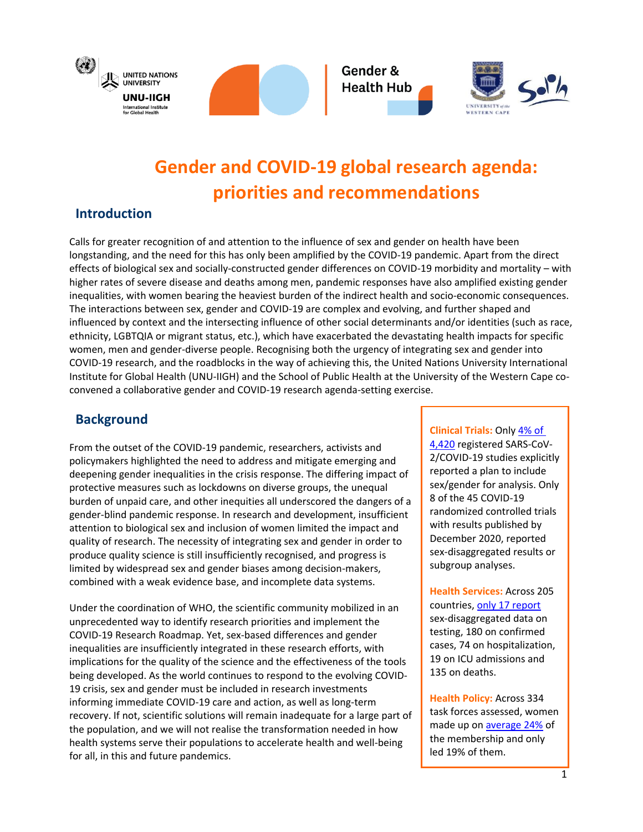





# **Gender and COVID-19 global research agenda: priorities and recommendations**

## **Introduction**

Calls for greater recognition of and attention to the influence of sex and gender on health have been longstanding, and the need for this has only been amplified by the COVID-19 pandemic. Apart from the direct effects of biological sex and socially-constructed gender differences on COVID-19 morbidity and mortality – with higher rates of severe disease and deaths among men, pandemic responses have also amplified existing gender inequalities, with women bearing the heaviest burden of the indirect health and socio-economic consequences. The interactions between sex, gender and COVID-19 are complex and evolving, and further shaped and influenced by context and the intersecting influence of other social determinants and/or identities (such as race, ethnicity, LGBTQIA or migrant status, etc.), which have exacerbated the devastating health impacts for specific women, men and gender-diverse people. Recognising both the urgency of integrating sex and gender into COVID-19 research, and the roadblocks in the way of achieving this, the United Nations University International Institute for Global Health (UNU-IIGH) and the School of Public Health at the University of the Western Cape coconvened a collaborative gender and COVID-19 research agenda-setting exercise.

# **Background**

From the outset of the COVID-19 pandemic, researchers, activists and policymakers highlighted the need to address and mitigate emerging and deepening gender inequalities in the crisis response. The differing impact of protective measures such as lockdowns on diverse groups, the unequal burden of unpaid care, and other inequities all underscored the dangers of a gender-blind pandemic response. In research and development, insufficient attention to biological sex and inclusion of women limited the impact and quality of research. The necessity of integrating sex and gender in order to produce quality science is still insufficiently recognised, and progress is limited by widespread sex and gender biases among decision-makers, combined with a weak evidence base, and incomplete data systems.

Under the coordination of WHO, the scientific community mobilized in an unprecedented way to identify research priorities and implement the COVID-19 Research Roadmap. Yet, sex-based differences and gender inequalities are insufficiently integrated in these research efforts, with implications for the quality of the science and the effectiveness of the tools being developed. As the world continues to respond to the evolving COVID-19 crisis, sex and gender must be included in research investments informing immediate COVID-19 care and action, as well as long-term recovery. If not, scientific solutions will remain inadequate for a large part of the population, and we will not realise the transformation needed in how health systems serve their populations to accelerate health and well-being for all, in this and future pandemics.

**Clinical Trials:** Onl[y 4% of](https://www.nature.com/articles/s41467-021-24265-8)  [4,420](https://www.nature.com/articles/s41467-021-24265-8) registered SARS-CoV-2/COVID-19 studies explicitly reported a plan to include sex/gender for analysis. Only 8 of the 45 COVID-19 randomized controlled trials with results published by December 2020, reported sex-disaggregated results or subgroup analyses.

**Health Services:** Across 205 countries, [only 17 report](https://globalhealth5050.org/the-sex-gender-and-covid-19-project/the-data-tracker/) sex-disaggregated data on testing, 180 on confirmed cases, 74 on hospitalization, 19 on ICU admissions and 135 on deaths.

**Health Policy:** Across 334 task forces assessed, women made up on **average 24%** of the membership and only led 19% of them.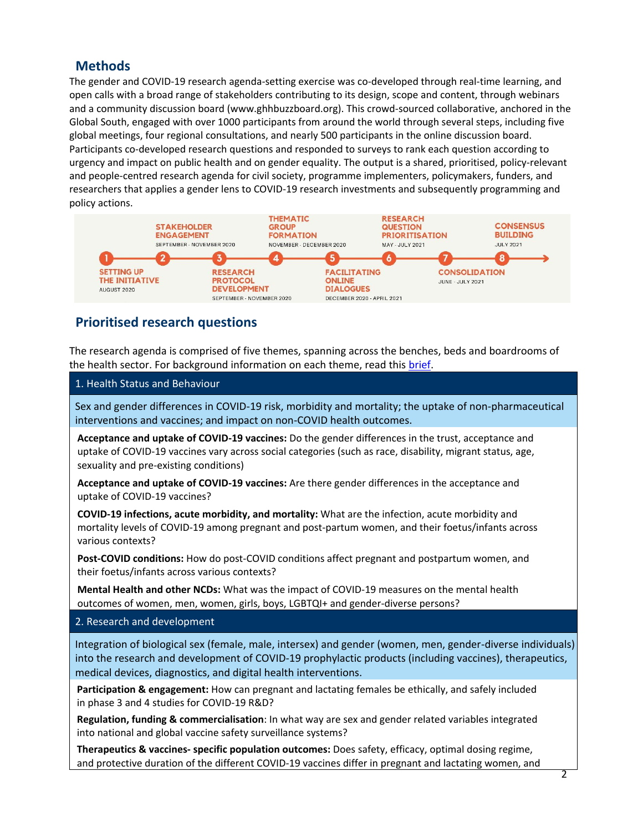## **Methods**

The gender and COVID-19 research agenda-setting exercise was co-developed through real-time learning, and open calls with a broad range of stakeholders contributing to its design, scope and content, through webinars and a community discussion board (www.ghhbuzzboard.org). This crowd-sourced collaborative, anchored in the Global South, engaged with over 1000 participants from around the world through several steps, including five global meetings, four regional consultations, and nearly 500 participants in the online discussion board. Participants co-developed research questions and responded to surveys to rank each question according to urgency and impact on public health and on gender equality. The output is a shared, prioritised, policy-relevant and people-centred research agenda for civil society, programme implementers, policymakers, funders, and researchers that applies a gender lens to COVID-19 research investments and subsequently programming and policy actions.



# **Prioritised research questions**

The research agenda is comprised of five themes, spanning across the benches, beds and boardrooms of the health sector. For background information on each theme, read this [brief.](https://www.genderhealthhub.org/wp-content/uploads/2021/02/Final-Brief-on-Gender-and-COVID-Research-Agenda_v1-003.pdf)

#### 1. Health Status and Behaviour

Sex and gender differences in COVID-19 risk, morbidity and mortality; the uptake of non-pharmaceutical interventions and vaccines; and impact on non-COVID health outcomes.

**Acceptance and uptake of COVID-19 vaccines:** Do the gender differences in the trust, acceptance and uptake of COVID-19 vaccines vary across social categories (such as race, disability, migrant status, age, sexuality and pre-existing conditions)

**Acceptance and uptake of COVID-19 vaccines:** Are there gender differences in the acceptance and uptake of COVID-19 vaccines?

**COVID-19 infections, acute morbidity, and mortality:** What are the infection, acute morbidity and mortality levels of COVID-19 among pregnant and post-partum women, and their foetus/infants across various contexts?

**Post-COVID conditions:** How do post-COVID conditions affect pregnant and postpartum women, and their foetus/infants across various contexts?

**Mental Health and other NCDs:** What was the impact of COVID-19 measures on the mental health outcomes of women, men, women, girls, boys, LGBTQI+ and gender-diverse persons?

#### 2. Research and development

Integration of biological sex (female, male, intersex) and gender (women, men, gender-diverse individuals) into the research and development of COVID-19 prophylactic products (including vaccines), therapeutics, medical devices, diagnostics, and digital health interventions.

**Participation & engagement:** How can pregnant and lactating females be ethically, and safely included in phase 3 and 4 studies for COVID-19 R&D?

**Regulation, funding & commercialisation**: In what way are sex and gender related variables integrated into national and global vaccine safety surveillance systems?

**Therapeutics & vaccines- specific population outcomes:** Does safety, efficacy, optimal dosing regime, and protective duration of the different COVID-19 vaccines differ in pregnant and lactating women, and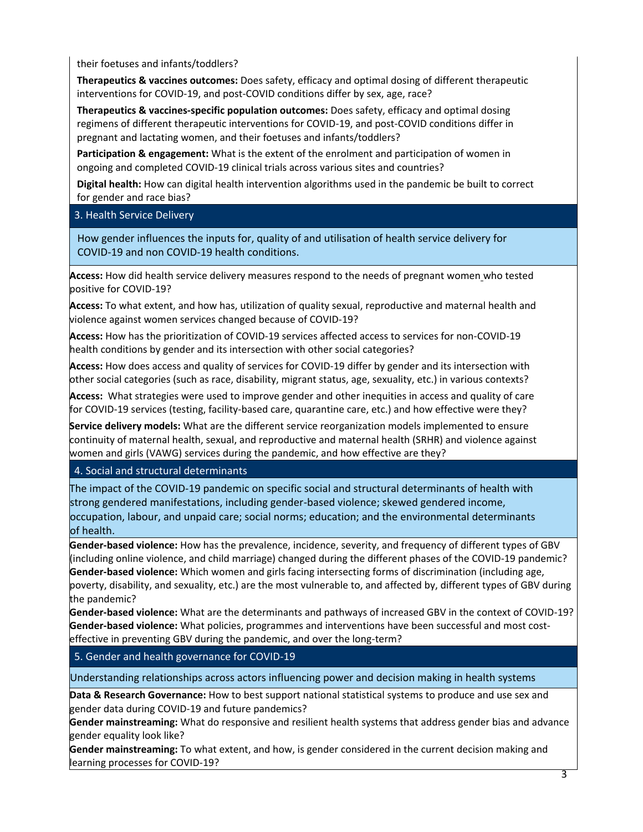their foetuses and infants/toddlers?

**Therapeutics & vaccines outcomes:** Does safety, efficacy and optimal dosing of different therapeutic interventions for COVID-19, and post-COVID conditions differ by sex, age, race?

**Therapeutics & vaccines-specific population outcomes:** Does safety, efficacy and optimal dosing regimens of different therapeutic interventions for COVID-19, and post-COVID conditions differ in pregnant and lactating women, and their foetuses and infants/toddlers?

**Participation & engagement:** What is the extent of the enrolment and participation of women in ongoing and completed COVID-19 clinical trials across various sites and countries?

**Digital health:** How can digital health intervention algorithms used in the pandemic be built to correct for gender and race bias?

3. Health Service Delivery

How gender influences the inputs for, quality of and utilisation of health service delivery for COVID-19 and non COVID-19 health conditions.

**Access:** How did health service delivery measures respond to the needs of pregnant women who tested positive for COVID-19?

**Access:** To what extent, and how has, utilization of quality sexual, reproductive and maternal health and violence against women services changed because of COVID-19?

**Access:** How has the prioritization of COVID-19 services affected access to services for non-COVID-19 health conditions by gender and its intersection with other social categories?

**Access:** How does access and quality of services for COVID-19 differ by gender and its intersection with other social categories (such as race, disability, migrant status, age, sexuality, etc.) in various contexts?

**Access:** What strategies were used to improve gender and other inequities in access and quality of care for COVID-19 services (testing, facility-based care, quarantine care, etc.) and how effective were they?

**Service delivery models:** What are the different service reorganization models implemented to ensure continuity of maternal health, sexual, and reproductive and maternal health (SRHR) and violence against women and girls (VAWG) services during the pandemic, and how effective are they?

4. Social and structural determinants

The impact of the COVID-19 pandemic on specific social and structural determinants of health with strong gendered manifestations, including gender-based violence; skewed gendered income, occupation, labour, and unpaid care; social norms; education; and the environmental determinants of health.

**Gender-based violence:** How has the prevalence, incidence, severity, and frequency of different types of GBV (including online violence, and child marriage) changed during the different phases of the COVID-19 pandemic? **Gender-based violence:** Which women and girls facing intersecting forms of discrimination (including age, poverty, disability, and sexuality, etc.) are the most vulnerable to, and affected by, different types of GBV during the pandemic?

**Gender-based violence:** What are the determinants and pathways of increased GBV in the context of COVID-19? **Gender-based violence:** What policies, programmes and interventions have been successful and most costeffective in preventing GBV during the pandemic, and over the long-term?

5. Gender and health governance for COVID-19

Understanding relationships across actors influencing power and decision making in health systems

**Data & Research Governance:** How to best support national statistical systems to produce and use sex and gender data during COVID-19 and future pandemics?

**Gender mainstreaming:** What do responsive and resilient health systems that address gender bias and advance gender equality look like?

**Gender mainstreaming:** To what extent, and how, is gender considered in the current decision making and learning processes for COVID-19?